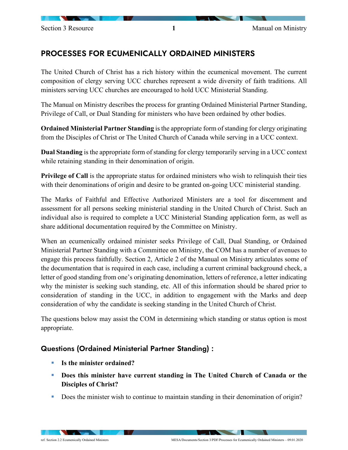# PROCESSES FOR ECUMENICALLY ORDAINED MINISTERS

The United Church of Christ has a rich history within the ecumenical movement. The current composition of clergy serving UCC churches represent a wide diversity of faith traditions. All ministers serving UCC churches are encouraged to hold UCC Ministerial Standing.

The Manual on Ministry describes the process for granting Ordained Ministerial Partner Standing, Privilege of Call, or Dual Standing for ministers who have been ordained by other bodies.

**Ordained Ministerial Partner Standing** is the appropriate form of standing for clergy originating from the Disciples of Christ or The United Church of Canada while serving in a UCC context.

**Dual Standing** is the appropriate form of standing for clergy temporarily serving in a UCC context while retaining standing in their denomination of origin.

**Privilege of Call** is the appropriate status for ordained ministers who wish to relinquish their ties with their denominations of origin and desire to be granted on-going UCC ministerial standing.

The Marks of Faithful and Effective Authorized Ministers are a tool for discernment and assessment for all persons seeking ministerial standing in the United Church of Christ. Such an individual also is required to complete a UCC Ministerial Standing application form, as well as share additional documentation required by the Committee on Ministry.

When an ecumenically ordained minister seeks Privilege of Call, Dual Standing, or Ordained Ministerial Partner Standing with a Committee on Ministry, the COM has a number of avenues to engage this process faithfully. Section 2, Article 2 of the Manual on Ministry articulates some of the documentation that is required in each case, including a current criminal background check, a letter of good standing from one's originating denomination, letters of reference, a letter indicating why the minister is seeking such standing, etc. All of this information should be shared prior to consideration of standing in the UCC, in addition to engagement with the Marks and deep consideration of why the candidate is seeking standing in the United Church of Christ.

The questions below may assist the COM in determining which standing or status option is most appropriate.

# Questions (Ordained Ministerial Partner Standing) :

- **Is the minister ordained?**
- **Does this minister have current standing in The United Church of Canada or the Disciples of Christ?**
- Does the minister wish to continue to maintain standing in their denomination of origin?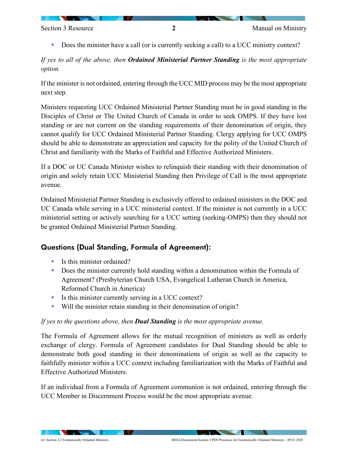Does the minister have a call (or is currently seeking a call) to a UCC ministry context?

*If yes to all of the above, then Ordained Ministerial Partner Standing is the most appropriate option.* 

If the minister is not ordained, entering through the UCC MID process may be the most appropriate next step.

Ministers requesting UCC Ordained Ministerial Partner Standing must be in good standing in the Disciples of Christ or The United Church of Canada in order to seek OMPS. If they have lost standing or are not current on the standing requirements of their denomination of origin, they cannot qualify for UCC Ordained Ministerial Partner Standing. Clergy applying for UCC OMPS should be able to demonstrate an appreciation and capacity for the polity of the United Church of Christ and familiarity with the Marks of Faithful and Effective Authorized Ministers.

If a DOC or UC Canada Minister wishes to relinquish their standing with their denomination of origin and solely retain UCC Ministerial Standing then Privilege of Call is the most appropriate avenue.

Ordained Ministerial Partner Standing is exclusively offered to ordained ministers in the DOC and UC Canada while serving in a UCC ministerial context. If the minister is not currently in a UCC ministerial setting or actively searching for a UCC setting (seeking-OMPS) then they should not be granted Ordained Ministerial Partner Standing.

# Questions (Dual Standing, Formula of Agreement):

- Is this minister ordained?
- Does the minister currently hold standing within a denomination within the Formula of Agreement? (Presbyterian Church USA, Evangelical Lutheran Church in America, Reformed Church in America)
- Is this minister currently serving in a UCC context?
- Will the minister retain standing in their denomination of origin?

### *If yes to the questions above, then Dual Standing is the most appropriate avenue.*

The Formula of Agreement allows for the mutual recognition of ministers as well as orderly exchange of clergy. Formula of Agreement candidates for Dual Standing should be able to demonstrate both good standing in their denominations of origin as well as the capacity to faithfully minister within a UCC context including familiarization with the Marks of Faithful and Effective Authorized Ministers.

If an individual from a Formula of Agreement communion is not ordained, entering through the UCC Member in Discernment Process would be the most appropriate avenue.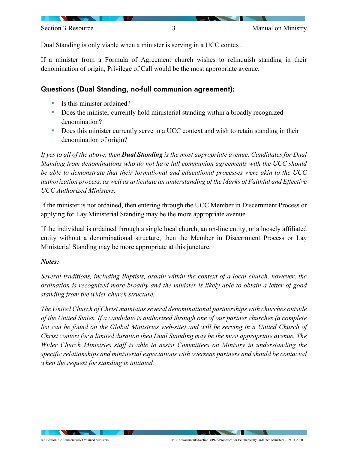Section 3 Resource **3** 3 Manual on Ministry

Dual Standing is only viable when a minister is serving in a UCC context.

If a minister from a Formula of Agreement church wishes to relinquish standing in their denomination of origin, Privilege of Call would be the most appropriate avenue.

### Questions (Dual Standing, no-full communion agreement):

- Is this minister ordained?
- Does the minister currently hold ministerial standing within a broadly recognized denomination?
- Does this minister currently serve in a UCC context and wish to retain standing in their denomination of origin?

*If yes to all of the above, then Dual Standing is the most appropriate avenue. Candidates for Dual Standing from denominations who do not have full communion agreements with the UCC should*  be able to demonstrate that their formational and educational processes were akin to the UCC *authorization process, as well as articulate an understanding of the Marks of Faithful and Effective UCC Authorized Ministers.* 

If the minister is not ordained, then entering through the UCC Member in Discernment Process or applying for Lay Ministerial Standing may be the more appropriate avenue.

If the individual is ordained through a single local church, an on-line entity, or a loosely affiliated entity without a denominational structure, then the Member in Discernment Process or Lay Ministerial Standing may be more appropriate at this juncture.

### *Notes:*

*Several traditions, including Baptists, ordain within the context of a local church, however, the ordination is recognized more broadly and the minister is likely able to obtain a letter of good standing from the wider church structure.* 

*The United Church of Christ maintains several denominational partnerships with churches outside of the United States. If a candidate is authorized through one of our partner churches (a complete*  list can be found on the Global Ministries web-site) and will be serving in a United Church of *Christ context for a limited duration then Dual Standing may be the most appropriate avenue. The Wider Church Ministries staff is able to assist Committees on Ministry in understanding the specific relationships and ministerial expectations with overseas partners and should be contacted when the request for standing is initiated.*